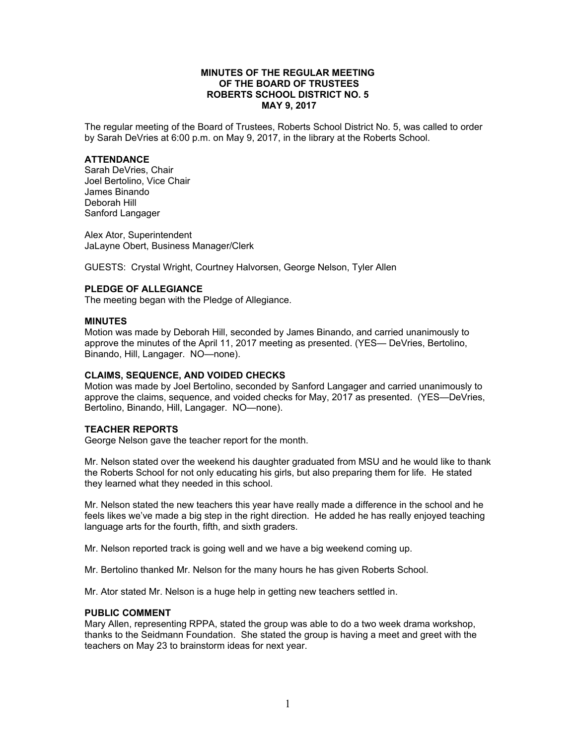#### **MINUTES OF THE REGULAR MEETING OF THE BOARD OF TRUSTEES ROBERTS SCHOOL DISTRICT NO. 5 MAY 9, 2017**

The regular meeting of the Board of Trustees, Roberts School District No. 5, was called to order by Sarah DeVries at 6:00 p.m. on May 9, 2017, in the library at the Roberts School.

#### **ATTENDANCE**

Sarah DeVries, Chair Joel Bertolino, Vice Chair James Binando Deborah Hill Sanford Langager

Alex Ator, Superintendent JaLayne Obert, Business Manager/Clerk

GUESTS: Crystal Wright, Courtney Halvorsen, George Nelson, Tyler Allen

#### **PLEDGE OF ALLEGIANCE**

The meeting began with the Pledge of Allegiance.

#### **MINUTES**

Motion was made by Deborah Hill, seconded by James Binando, and carried unanimously to approve the minutes of the April 11, 2017 meeting as presented. (YES— DeVries, Bertolino, Binando, Hill, Langager. NO—none).

#### **CLAIMS, SEQUENCE, AND VOIDED CHECKS**

Motion was made by Joel Bertolino, seconded by Sanford Langager and carried unanimously to approve the claims, sequence, and voided checks for May, 2017 as presented. (YES—DeVries, Bertolino, Binando, Hill, Langager. NO—none).

#### **TEACHER REPORTS**

George Nelson gave the teacher report for the month.

Mr. Nelson stated over the weekend his daughter graduated from MSU and he would like to thank the Roberts School for not only educating his girls, but also preparing them for life. He stated they learned what they needed in this school.

Mr. Nelson stated the new teachers this year have really made a difference in the school and he feels likes we've made a big step in the right direction. He added he has really enjoyed teaching language arts for the fourth, fifth, and sixth graders.

Mr. Nelson reported track is going well and we have a big weekend coming up.

Mr. Bertolino thanked Mr. Nelson for the many hours he has given Roberts School.

Mr. Ator stated Mr. Nelson is a huge help in getting new teachers settled in.

#### **PUBLIC COMMENT**

Mary Allen, representing RPPA, stated the group was able to do a two week drama workshop, thanks to the Seidmann Foundation. She stated the group is having a meet and greet with the teachers on May 23 to brainstorm ideas for next year.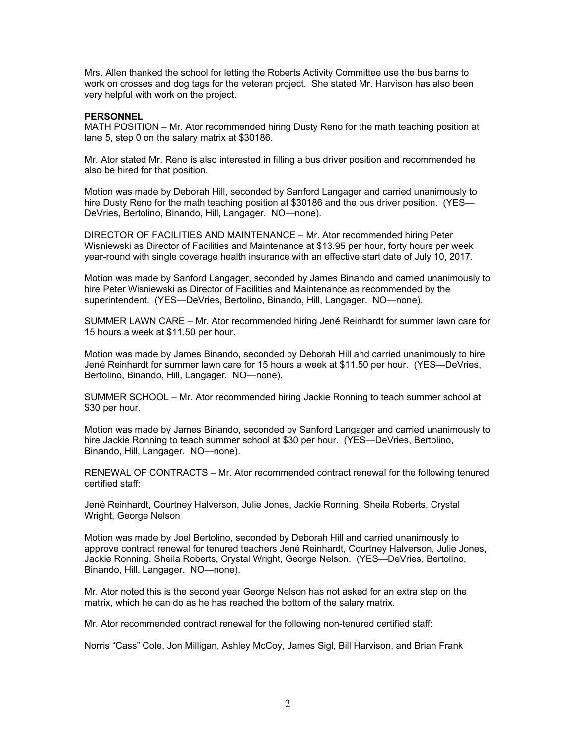Mrs. Allen thanked the school for letting the Roberts Activity Committee use the bus barns to work on crosses and dog tags for the veteran project. She stated Mr. Harvison has also been very helpful with work on the project.

#### **PERSONNEL**

MATH POSITION – Mr. Ator recommended hiring Dusty Reno for the math teaching position at lane 5, step 0 on the salary matrix at \$30186.

Mr. Ator stated Mr. Reno is also interested in filling a bus driver position and recommended he also be hired for that position.

Motion was made by Deborah Hill, seconded by Sanford Langager and carried unanimously to hire Dusty Reno for the math teaching position at \$30186 and the bus driver position. (YES— DeVries, Bertolino, Binando, Hill, Langager. NO—none).

DIRECTOR OF FACILITIES AND MAINTENANCE – Mr. Ator recommended hiring Peter Wisniewski as Director of Facilities and Maintenance at \$13.95 per hour, forty hours per week year-round with single coverage health insurance with an effective start date of July 10, 2017.

Motion was made by Sanford Langager, seconded by James Binando and carried unanimously to hire Peter Wisniewski as Director of Facilities and Maintenance as recommended by the superintendent. (YES—DeVries, Bertolino, Binando, Hill, Langager. NO—none).

SUMMER LAWN CARE – Mr. Ator recommended hiring Jené Reinhardt for summer lawn care for 15 hours a week at \$11.50 per hour.

Motion was made by James Binando, seconded by Deborah Hill and carried unanimously to hire Jené Reinhardt for summer lawn care for 15 hours a week at \$11.50 per hour. (YES—DeVries, Bertolino, Binando, Hill, Langager. NO—none).

SUMMER SCHOOL – Mr. Ator recommended hiring Jackie Ronning to teach summer school at \$30 per hour.

Motion was made by James Binando, seconded by Sanford Langager and carried unanimously to hire Jackie Ronning to teach summer school at \$30 per hour. (YES—DeVries, Bertolino, Binando, Hill, Langager. NO—none).

RENEWAL OF CONTRACTS – Mr. Ator recommended contract renewal for the following tenured certified staff:

Jené Reinhardt, Courtney Halverson, Julie Jones, Jackie Ronning, Sheila Roberts, Crystal Wright, George Nelson

Motion was made by Joel Bertolino, seconded by Deborah Hill and carried unanimously to approve contract renewal for tenured teachers Jené Reinhardt, Courtney Halverson, Julie Jones, Jackie Ronning, Sheila Roberts, Crystal Wright, George Nelson. (YES—DeVries, Bertolino, Binando, Hill, Langager. NO—none).

Mr. Ator noted this is the second year George Nelson has not asked for an extra step on the matrix, which he can do as he has reached the bottom of the salary matrix.

Mr. Ator recommended contract renewal for the following non-tenured certified staff:

Norris "Cass" Cole, Jon Milligan, Ashley McCoy, James Sigl, Bill Harvison, and Brian Frank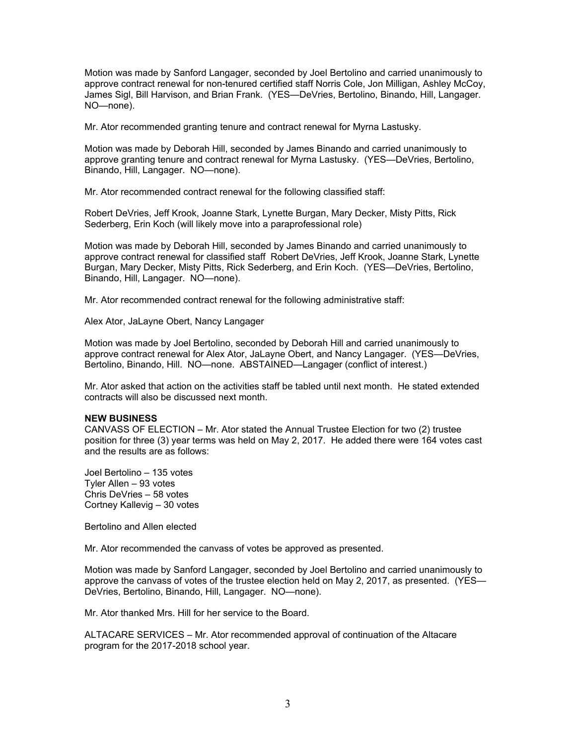Motion was made by Sanford Langager, seconded by Joel Bertolino and carried unanimously to approve contract renewal for non-tenured certified staff Norris Cole, Jon Milligan, Ashley McCoy, James Sigl, Bill Harvison, and Brian Frank. (YES—DeVries, Bertolino, Binando, Hill, Langager. NO—none).

Mr. Ator recommended granting tenure and contract renewal for Myrna Lastusky.

Motion was made by Deborah Hill, seconded by James Binando and carried unanimously to approve granting tenure and contract renewal for Myrna Lastusky. (YES—DeVries, Bertolino, Binando, Hill, Langager. NO—none).

Mr. Ator recommended contract renewal for the following classified staff:

Robert DeVries, Jeff Krook, Joanne Stark, Lynette Burgan, Mary Decker, Misty Pitts, Rick Sederberg, Erin Koch (will likely move into a paraprofessional role)

Motion was made by Deborah Hill, seconded by James Binando and carried unanimously to approve contract renewal for classified staff Robert DeVries, Jeff Krook, Joanne Stark, Lynette Burgan, Mary Decker, Misty Pitts, Rick Sederberg, and Erin Koch. (YES—DeVries, Bertolino, Binando, Hill, Langager. NO—none).

Mr. Ator recommended contract renewal for the following administrative staff:

Alex Ator, JaLayne Obert, Nancy Langager

Motion was made by Joel Bertolino, seconded by Deborah Hill and carried unanimously to approve contract renewal for Alex Ator, JaLayne Obert, and Nancy Langager. (YES—DeVries, Bertolino, Binando, Hill. NO—none. ABSTAINED—Langager (conflict of interest.)

Mr. Ator asked that action on the activities staff be tabled until next month. He stated extended contracts will also be discussed next month.

#### **NEW BUSINESS**

CANVASS OF ELECTION – Mr. Ator stated the Annual Trustee Election for two (2) trustee position for three (3) year terms was held on May 2, 2017. He added there were 164 votes cast and the results are as follows:

Joel Bertolino – 135 votes Tyler Allen – 93 votes Chris DeVries – 58 votes Cortney Kallevig – 30 votes

Bertolino and Allen elected

Mr. Ator recommended the canvass of votes be approved as presented.

Motion was made by Sanford Langager, seconded by Joel Bertolino and carried unanimously to approve the canvass of votes of the trustee election held on May 2, 2017, as presented. (YES— DeVries, Bertolino, Binando, Hill, Langager. NO—none).

Mr. Ator thanked Mrs. Hill for her service to the Board.

ALTACARE SERVICES – Mr. Ator recommended approval of continuation of the Altacare program for the 2017-2018 school year.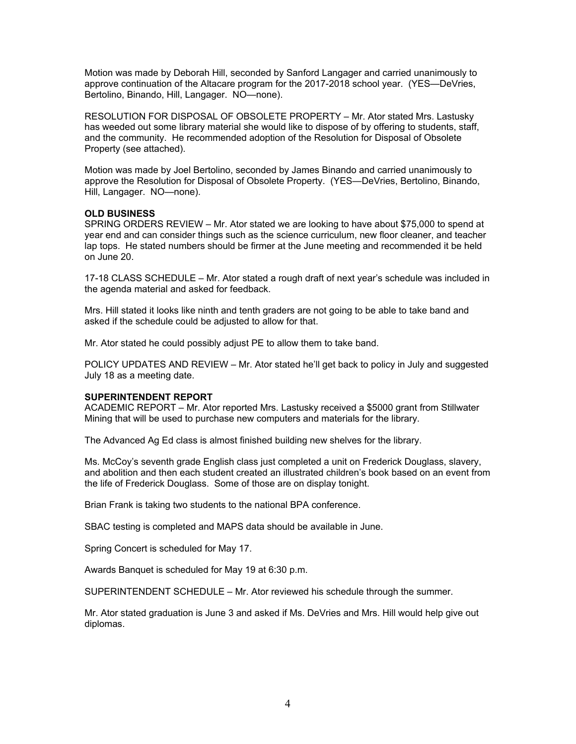Motion was made by Deborah Hill, seconded by Sanford Langager and carried unanimously to approve continuation of the Altacare program for the 2017-2018 school year. (YES—DeVries, Bertolino, Binando, Hill, Langager. NO—none).

RESOLUTION FOR DISPOSAL OF OBSOLETE PROPERTY – Mr. Ator stated Mrs. Lastusky has weeded out some library material she would like to dispose of by offering to students, staff, and the community. He recommended adoption of the Resolution for Disposal of Obsolete Property (see attached).

Motion was made by Joel Bertolino, seconded by James Binando and carried unanimously to approve the Resolution for Disposal of Obsolete Property. (YES—DeVries, Bertolino, Binando, Hill, Langager. NO—none).

# **OLD BUSINESS**

SPRING ORDERS REVIEW – Mr. Ator stated we are looking to have about \$75,000 to spend at year end and can consider things such as the science curriculum, new floor cleaner, and teacher lap tops. He stated numbers should be firmer at the June meeting and recommended it be held on June 20.

17-18 CLASS SCHEDULE – Mr. Ator stated a rough draft of next year's schedule was included in the agenda material and asked for feedback.

Mrs. Hill stated it looks like ninth and tenth graders are not going to be able to take band and asked if the schedule could be adjusted to allow for that.

Mr. Ator stated he could possibly adjust PE to allow them to take band.

POLICY UPDATES AND REVIEW – Mr. Ator stated he'll get back to policy in July and suggested July 18 as a meeting date.

#### **SUPERINTENDENT REPORT**

ACADEMIC REPORT – Mr. Ator reported Mrs. Lastusky received a \$5000 grant from Stillwater Mining that will be used to purchase new computers and materials for the library.

The Advanced Ag Ed class is almost finished building new shelves for the library.

Ms. McCoy's seventh grade English class just completed a unit on Frederick Douglass, slavery, and abolition and then each student created an illustrated children's book based on an event from the life of Frederick Douglass. Some of those are on display tonight.

Brian Frank is taking two students to the national BPA conference.

SBAC testing is completed and MAPS data should be available in June.

Spring Concert is scheduled for May 17.

Awards Banquet is scheduled for May 19 at 6:30 p.m.

SUPERINTENDENT SCHEDULE – Mr. Ator reviewed his schedule through the summer.

Mr. Ator stated graduation is June 3 and asked if Ms. DeVries and Mrs. Hill would help give out diplomas.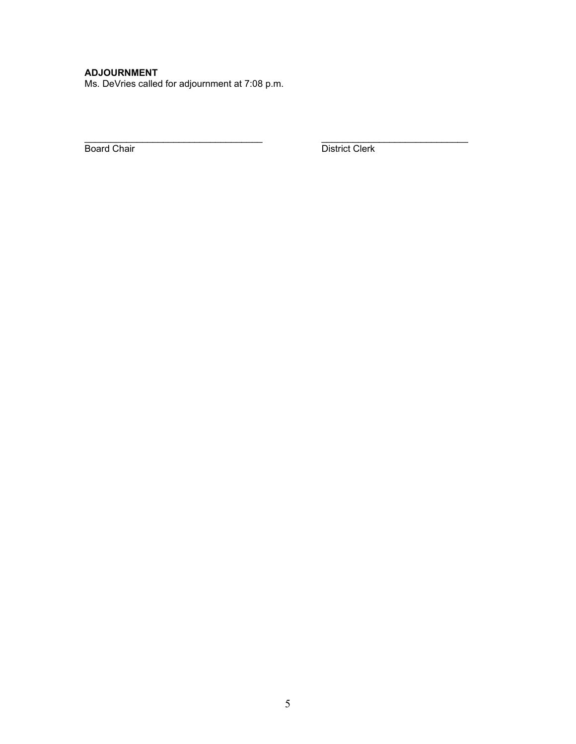# **ADJOURNMENT**

Ms. DeVries called for adjournment at 7:08 p.m.

Board Chair **District Clerk** 

 $\mathcal{L}_\text{max}$  , and the set of the set of the set of the set of the set of the set of the set of the set of the set of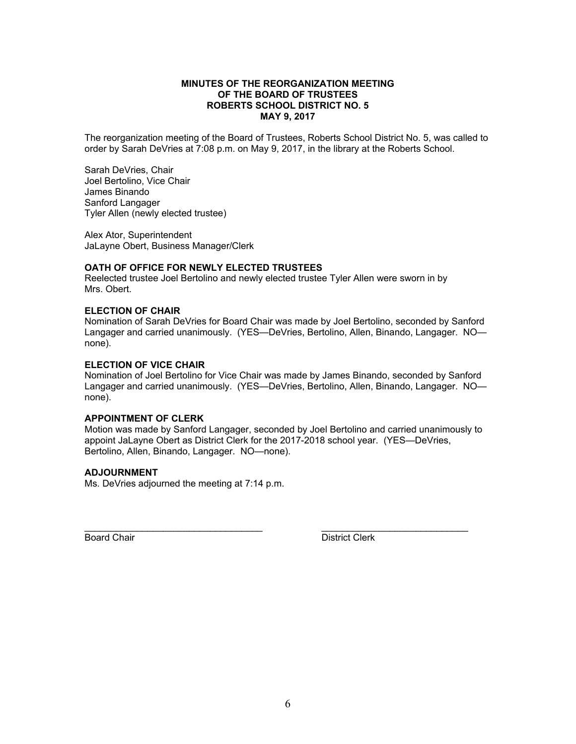#### **MINUTES OF THE REORGANIZATION MEETING OF THE BOARD OF TRUSTEES ROBERTS SCHOOL DISTRICT NO. 5 MAY 9, 2017**

The reorganization meeting of the Board of Trustees, Roberts School District No. 5, was called to order by Sarah DeVries at 7:08 p.m. on May 9, 2017, in the library at the Roberts School.

Sarah DeVries, Chair Joel Bertolino, Vice Chair James Binando Sanford Langager Tyler Allen (newly elected trustee)

Alex Ator, Superintendent JaLayne Obert, Business Manager/Clerk

# **OATH OF OFFICE FOR NEWLY ELECTED TRUSTEES**

Reelected trustee Joel Bertolino and newly elected trustee Tyler Allen were sworn in by Mrs. Obert.

# **ELECTION OF CHAIR**

Nomination of Sarah DeVries for Board Chair was made by Joel Bertolino, seconded by Sanford Langager and carried unanimously. (YES—DeVries, Bertolino, Allen, Binando, Langager. NO none).

# **ELECTION OF VICE CHAIR**

Nomination of Joel Bertolino for Vice Chair was made by James Binando, seconded by Sanford Langager and carried unanimously. (YES—DeVries, Bertolino, Allen, Binando, Langager. NO none).

#### **APPOINTMENT OF CLERK**

Motion was made by Sanford Langager, seconded by Joel Bertolino and carried unanimously to appoint JaLayne Obert as District Clerk for the 2017-2018 school year. (YES—DeVries, Bertolino, Allen, Binando, Langager. NO—none).

\_\_\_\_\_\_\_\_\_\_\_\_\_\_\_\_\_\_\_\_\_\_\_\_\_\_\_\_\_\_\_\_\_\_ \_\_\_\_\_\_\_\_\_\_\_\_\_\_\_\_\_\_\_\_\_\_\_\_\_\_\_\_

# **ADJOURNMENT**

Ms. DeVries adjourned the meeting at 7:14 p.m.

Board Chair **District Clerk**